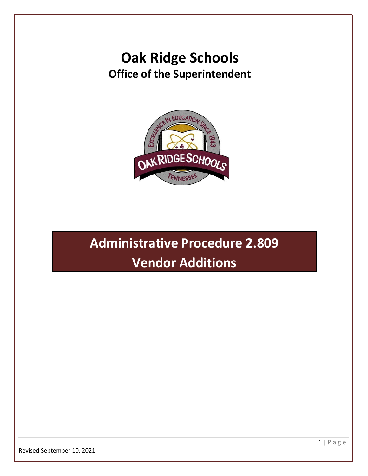## **Oak Ridge Schools Office of the Superintendent**



# **Administrative Procedure 2.809 Vendor Additions**